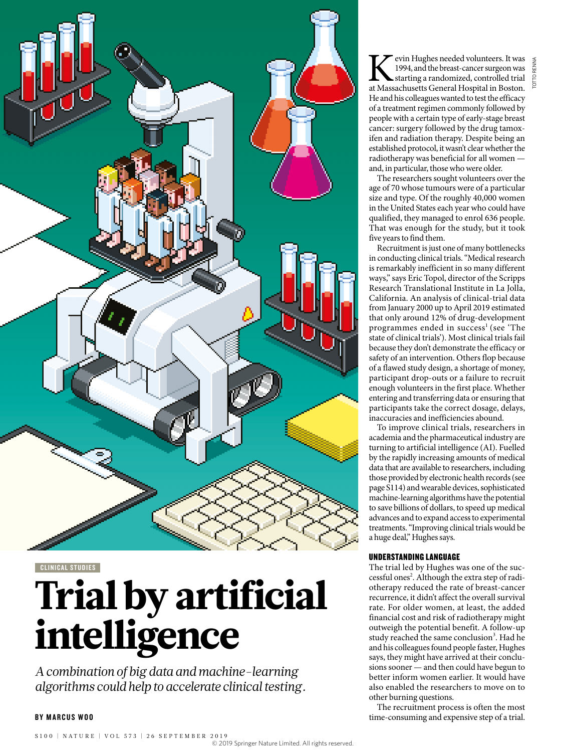

CLINICAL STUDIES

# Trial by artificial intelligence

*A combination of big data and machine-learning algorithms could help to accelerate clinical testing.*

#### BY MARCUS WOO

Kevin Hughes needed volunteers. It was 1994, and the breast-cancer surgeon was starting a randomized, controlled trial at Massachusetts General Hospital in Boston. 1994, and the breast-cancer surgeon was starting a randomized, controlled trial He and his colleagues wanted to test the efficacy of a treatment regimen commonly followed by people with a certain type of early-stage breast cancer: surgery followed by the drug tamoxifen and radiation therapy. Despite being an established protocol, it wasn't clear whether the radiotherapy was beneficial for all women and, in particular, those who were older.

The researchers sought volunteers over the age of 70 whose tumours were of a particular size and type. Of the roughly 40,000 women in the United States each year who could have qualified, they managed to enrol 636 people. That was enough for the study, but it took five years to find them.

Recruitment is just one of many bottlenecks in conducting clinical trials. "Medical research is remarkably inefficient in so many different ways," says Eric Topol, director of the Scripps Research Translational Institute in La Jolla, California. An analysis of clinical-trial data from January 2000 up to April 2019 estimated that only around 12% of drug-development programmes ended in success<sup>1</sup> (see 'The state of clinical trials'). Most clinical trials fail because they don't demonstrate the efficacy or safety of an intervention. Others flop because of a flawed study design, a shortage of money, participant drop-outs or a failure to recruit enough volunteers in the first place. Whether entering and transferring data or ensuring that participants take the correct dosage, delays, inaccuracies and inefficiencies abound.

To improve clinical trials, researchers in academia and the pharmaceutical industry are turning to artificial intelligence (AI). Fuelled by the rapidly increasing amounts of medical data that are available to researchers, including those provided by electronic health records (see page S114) and wearable devices, sophisticated machine-learning algorithms have the potential to save billions of dollars, to speed up medical advances and to expand access to experimental treatments. "Improving clinical trials would be a huge deal," Hughes says.

#### UNDERSTANDING LANGUAGE

The trial led by Hughes was one of the successful ones<sup>2</sup>. Although the extra step of radiotherapy reduced the rate of breast-cancer recurrence, it didn't affect the overall survival rate. For older women, at least, the added financial cost and risk of radiotherapy might outweigh the potential benefit. A follow-up study reached the same conclusion<sup>3</sup>. Had he and his colleagues found people faster, Hughes says, they might have arrived at their conclusions sooner — and then could have begun to better inform women earlier. It would have also enabled the researchers to move on to other burning questions.

The recruitment process is often the most time-consuming and expensive step of a trial.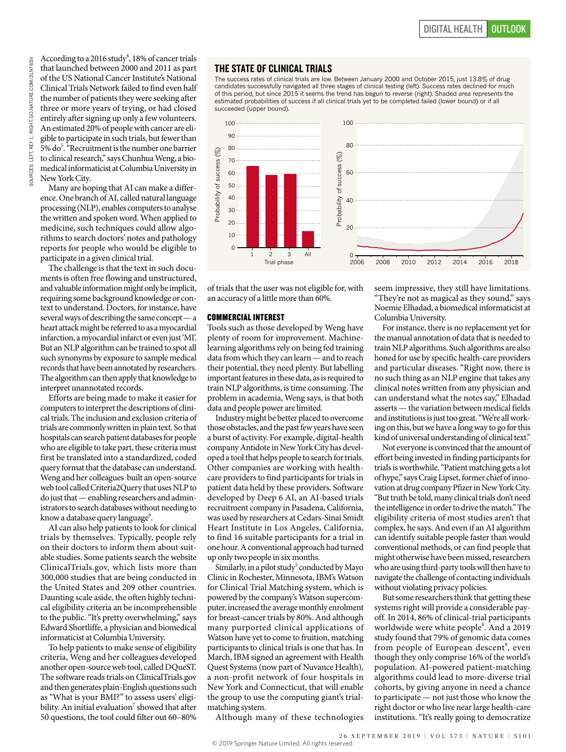According to a 2016 study<sup>4</sup>, 18% of cancer trials that launched between 2000 and 2011 as part of the US National Cancer Institute's National Clinical Trials Network failed to find even half the number of patients they were seeking after three or more years of trying, or had closed entirely after signing up only a few volunteers. An estimated 20% of people with cancer are eligible to participate in such trials, but fewer than 5% do<sup>5</sup>. "Recruitment is the number one barrier to clinical research," says Chunhua Weng, a biomedical informaticist at Columbia University in New York City.

Many are hoping that AI can make a difference. One branch of AI, called natural language processing (NLP), enables computers to analyse the written and spoken word. When applied to medicine, such techniques could allow algorithms to search doctors' notes and pathology reports for people who would be eligible to participate in a given clinical trial.

The challenge is that the text in such documents is often free flowing and unstructured, and valuable information might only be implicit, requiring some background knowledge or context to understand. Doctors, for instance, have several ways of describing the same concept — a heart attack might be referred to as a myocardial infarction, a myocardial infarct or even just 'MI'. But an NLP algorithm can be trained to spot all such synonyms by exposure to sample medical records that have been annotated by researchers. The algorithm can then apply that knowledge to interpret unannotated records.

Efforts are being made to make it easier for computers to interpret the descriptions of clinical trials. The inclusion and exclusion criteria of trials are commonly written in plain text. So that hospitals can search patient databases for people who are eligible to take part, these criteria must first be translated into a standardized, coded query format that the database can understand. Weng and her colleagues built an open-source web tool called Criteria2Query that uses NLP to do just that — enabling researchers and administrators to search databases without needing to know a database query language $^6$ .

AI can also help patients to look for clinical trials by themselves. Typically, people rely on their doctors to inform them about suitable studies. Some patients search the website ClinicalTrials.gov, which lists more than 300,000 studies that are being conducted in the United States and 209 other countries. Daunting scale aside, the often highly technical eligibility criteria an be incomprehensible to the public. "It's pretty overwhelming," says Edward Shortliffe, a physician and biomedical informaticist at Columbia University.

To help patients to make sense of eligibility criteria, Weng and her colleagues developed another open-source web tool, called DQueST. The software reads trials on ClinicalTrials.gov and then generates plain-English questions such as "What is your BMI?" to assess users' eligibility. An initial evaluation<sup>7</sup> showed that after 50 questions, the tool could filter out 60–80%

## THE STATE OF CLINICAL TRIALS

The success rates of clinical trials are low. Between January 2000 and October 2015, just 13.8% of drug candidates successfully navigated all three stages of clinical testing (left). Success rates declined for much of this period, but since 2015 it seems the trend has begun to reverse (right). Shaded area represents the estimated probabilities of success if all clinical trials yet to be completed failed (lower bound) or if all succeeded (upper bound).



of trials that the user was not eligible for, with an accuracy of a little more than 60%.

#### COMMERCIAL INTEREST

Tools such as those developed by Weng have plenty of room for improvement. Machinelearning algorithms rely on being fed training data from which they can learn — and to reach their potential, they need plenty. But labelling important features in these data, as is required to train NLP algorithms, is time consuming. The problem in academia, Weng says, is that both data and people power are limited.

Industry might be better placed to overcome those obstacles, and the past few years have seen a burst of activity. For example, digital-health company Antidote in New York City has developed a tool that helps people to search for trials. Other companies are working with healthcare providers to find participants for trials in patient data held by these providers. Software developed by Deep 6 AI, an AI-based trials recruitment company in Pasadena, California, was used by researchers at Cedars-Sinai Smidt Heart Institute in Los Angeles, California, to find 16 suitable participants for a trial in one hour. A conventional approach had turned up only two people in six months.

Similarly, in a pilot study<sup>5</sup> conducted by Mayo Clinic in Rochester, Minnesota, IBM's Watson for Clinical Trial Matching system, which is powered by the company's Watson supercomputer, increased the average monthly enrolment for breast-cancer trials by 80%. And although many purported clinical applications of Watson have yet to come to fruition, matching participants to clinical trials is one that has. In March, IBM signed an agreement with Health Quest Systems (now part of Nuvance Health), a non-profit network of four hospitals in New York and Connecticut, that will enable the group to use the computing giant's trialmatching system.

Although many of these technologies

seem impressive, they still have limitations. "They're not as magical as they sound," says Noemie Elhadad, a biomedical informaticist at Columbia University.

For instance, there is no replacement yet for the manual annotation of data that is needed to train NLP algorithms. Such algorithms are also honed for use by specific health-care providers and particular diseases. "Right now, there is no such thing as an NLP engine that takes any clinical notes written from any physician and can understand what the notes say," Elhadad asserts — the variation between medical fields and institutions is just too great. "We're all working on this, but we have a long way to go for this kind of universal understanding of clinical text."

Not everyone is convinced that the amount of effort being invested in finding participants for trials is worthwhile. "Patient matching gets a lot of hype," says Craig Lipset, former chief of innovation at drug company Pfizer in New York City. "But truth be told, many clinical trials don't need the intelligence in order to drive the match." The eligibility criteria of most studies aren't that complex, he says. And even if an AI algorithm can identify suitable people faster than would conventional methods, or can find people that might otherwise have been missed, researchers who are using third-party tools will then have to navigate the challenge of contacting individuals without violating privacy policies.

But some researchers think that getting these systems right will provide a considerable payoff. In 2014, 86% of clinical-trial participants worldwide were white people<sup>8</sup>. And a 2019 study found that 79% of genomic data comes from people of European descent<sup>9</sup>, even though they only comprise 16% of the world's population. AI-powered patient-matching algorithms could lead to more-diverse trial cohorts, by giving anyone in need a chance to participate — not just those who know the right doctor or who live near large health-care institutions. "It's really going to democratize